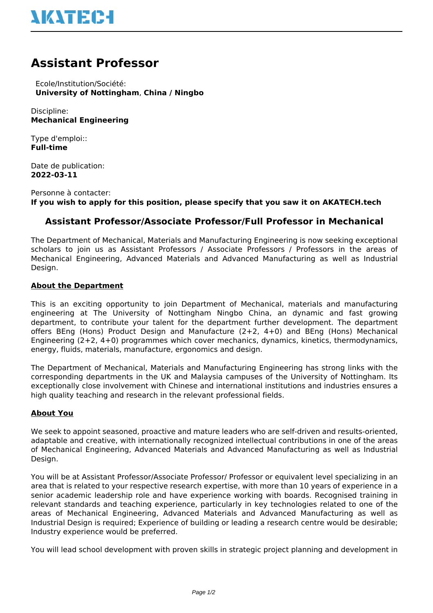# **Assistant Professor**

 Ecole/Institution/Société: **University of Nottingham**, **China / Ningbo**

Discipline: **Mechanical Engineering**

Type d'emploi:: **Full-time**

Date de publication: **2022-03-11**

Personne à contacter: **If you wish to apply for this position, please specify that you saw it on AKATECH.tech**

## **Assistant Professor/Associate Professor/Full Professor in Mechanical**

The Department of Mechanical, Materials and Manufacturing Engineering is now seeking exceptional scholars to join us as Assistant Professors / Associate Professors / Professors in the areas of Mechanical Engineering, Advanced Materials and Advanced Manufacturing as well as Industrial Design.

### **About the Department**

This is an exciting opportunity to join Department of Mechanical, materials and manufacturing engineering at The University of Nottingham Ningbo China, an dynamic and fast growing department, to contribute your talent for the department further development. The department offers BEng (Hons) Product Design and Manufacture (2+2, 4+0) and BEng (Hons) Mechanical Engineering (2+2, 4+0) programmes which cover mechanics, dynamics, kinetics, thermodynamics, energy, fluids, materials, manufacture, ergonomics and design.

The Department of Mechanical, Materials and Manufacturing Engineering has strong links with the corresponding departments in the UK and Malaysia campuses of the University of Nottingham. Its exceptionally close involvement with Chinese and international institutions and industries ensures a high quality teaching and research in the relevant professional fields.

#### **About You**

We seek to appoint seasoned, proactive and mature leaders who are self-driven and results-oriented, adaptable and creative, with internationally recognized intellectual contributions in one of the areas of Mechanical Engineering, Advanced Materials and Advanced Manufacturing as well as Industrial Design.

You will be at Assistant Professor/Associate Professor/ Professor or equivalent level specializing in an area that is related to your respective research expertise, with more than 10 years of experience in a senior academic leadership role and have experience working with boards. Recognised training in relevant standards and teaching experience, particularly in key technologies related to one of the areas of Mechanical Engineering, Advanced Materials and Advanced Manufacturing as well as Industrial Design is required; Experience of building or leading a research centre would be desirable; Industry experience would be preferred.

You will lead school development with proven skills in strategic project planning and development in